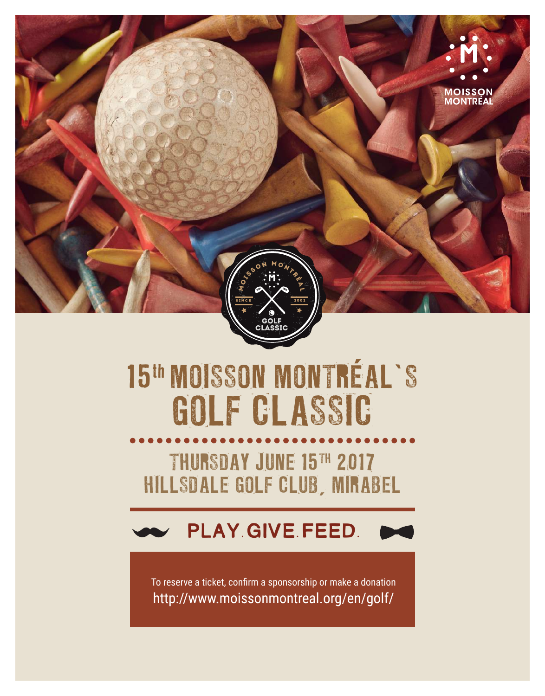

# 15th MOISSON MONTRÉAL'S GOLF CLASSIC

THURSDAY JUNE 15TH 2017 HILLSDALE GOLF CLUB, MIRABEL

# PLAY. GIVE. FEED.

To reserve a ticket, confirm a sponsorship or make a donation <http://www.moissonmontreal.org/en/golf/>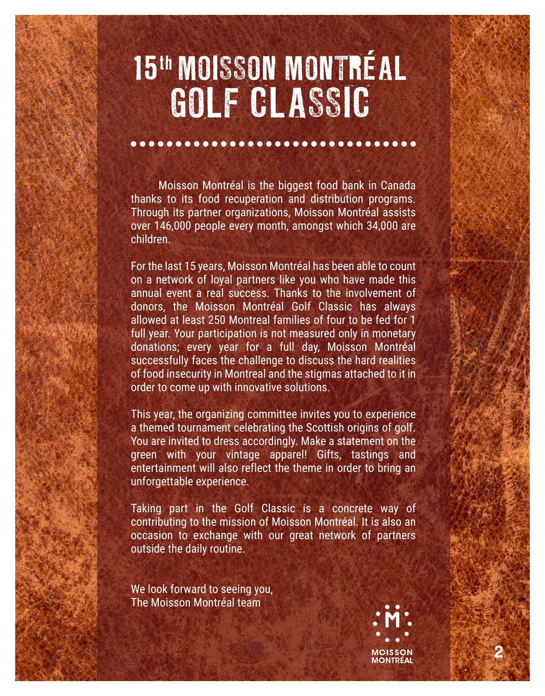# 15th MOISSON MONTRÉAL GOLF CLASSIC

 Moisson Montréal is the biggest food bank in Canada thanks to its food recuperation and distribution programs. Through its partner organizations, Moisson Montréal assists over 146,000 people every month, amongst which 34,000 are children.

For the last 15 years, Moisson Montréal has been able to count on a network of loyal partners like you who have made this annual event a real success. Thanks to the involvement of donors, the Moisson Montréal Golf Classic has always allowed at least 250 Montreal families of four to be fed for 1 full year. Your participation is not measured only in monetary donations; every year for a full day, Moisson Montréal successfully faces the challenge to discuss the hard realities of food insecurity in Montreal and the stigmas attached to it in order to come up with innovative solutions.

This year, the organizing committee invites you to experience a themed tournament celebrating the Scottish origins of golf. You are invited to dress accordingly. Make a statement on the green with your vintage apparel! Gifts, tastings and entertainment will also reflect the theme in order to bring an unforgettable experience.

Taking part in the Golf Classic is a concrete way of contributing to the mission of Moisson Montréal. It is also an occasion to exchange with our great network of partners outside the daily routine.

We look forward to seeing you, The Moisson Montréal team



2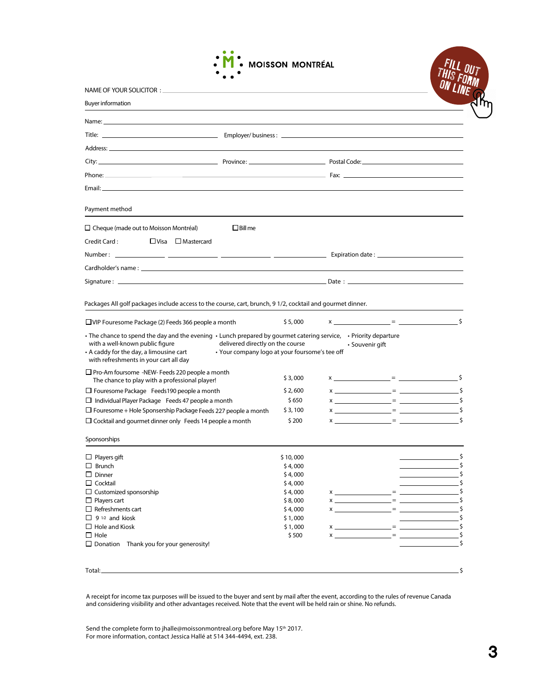

| NAME OF YOUR SOLICITOR :                                                                                                                                                                                                                           |                                                                                    |  |                    |      |
|----------------------------------------------------------------------------------------------------------------------------------------------------------------------------------------------------------------------------------------------------|------------------------------------------------------------------------------------|--|--------------------|------|
| <b>Buyer information</b>                                                                                                                                                                                                                           |                                                                                    |  |                    |      |
|                                                                                                                                                                                                                                                    |                                                                                    |  |                    |      |
|                                                                                                                                                                                                                                                    |                                                                                    |  |                    |      |
|                                                                                                                                                                                                                                                    |                                                                                    |  |                    |      |
|                                                                                                                                                                                                                                                    |                                                                                    |  |                    |      |
|                                                                                                                                                                                                                                                    |                                                                                    |  |                    |      |
|                                                                                                                                                                                                                                                    |                                                                                    |  |                    |      |
| Email: Email: All and the state of the state of the state of the state of the state of the state of the state of the state of the state of the state of the state of the state of the state of the state of the state of the s                     |                                                                                    |  |                    |      |
| Payment method                                                                                                                                                                                                                                     |                                                                                    |  |                    |      |
| $\Box$ Cheque (made out to Moisson Montréal)<br>$\Box$ Bill me                                                                                                                                                                                     |                                                                                    |  |                    |      |
| Credit Card:<br>$\Box$ Visa<br>$\Box$ Mastercard                                                                                                                                                                                                   |                                                                                    |  |                    |      |
|                                                                                                                                                                                                                                                    |                                                                                    |  |                    |      |
|                                                                                                                                                                                                                                                    |                                                                                    |  |                    |      |
|                                                                                                                                                                                                                                                    |                                                                                    |  |                    |      |
|                                                                                                                                                                                                                                                    |                                                                                    |  |                    |      |
| Packages All golf packages include access to the course, cart, brunch, 91/2, cocktail and gourmet dinner.<br>$\Box$ VIP Fouresome Package (2) Feeds 366 people a month                                                                             | \$5,000                                                                            |  | $x =$ $\zeta$      |      |
|                                                                                                                                                                                                                                                    |                                                                                    |  |                    |      |
| The chance to spend the day and the evening $\cdot$ Lunch prepared by gourmet catering service, $\cdot$ Priority departure<br>with a well-known public figure<br>• A caddy for the day, a limousine cart<br>with refreshments in your cart all day | delivered directly on the course<br>• Your company logo at your foursome's tee off |  | • Souvenir gift    |      |
| $\Box$ Pro-Am foursome -NEW- Feeds 220 people a month<br>The chance to play with a professional player!                                                                                                                                            | \$3,000                                                                            |  |                    |      |
| $\Box$ Fouresome Package Feeds190 people a month                                                                                                                                                                                                   | \$2,600                                                                            |  |                    |      |
| $\Box$ Individual Player Package Feeds 47 people a month                                                                                                                                                                                           | \$650                                                                              |  |                    |      |
| $\square$ Fouresome + Hole Sponsership Package Feeds 227 people a month                                                                                                                                                                            | \$3,100                                                                            |  |                    |      |
| $\Box$ Cocktail and gourmet dinner only Feeds 14 people a month                                                                                                                                                                                    | \$200                                                                              |  |                    | - \$ |
| Sponsorships                                                                                                                                                                                                                                       |                                                                                    |  |                    |      |
| $\Box$ Players gift                                                                                                                                                                                                                                | \$10,000                                                                           |  |                    |      |
| $\Box$ Brunch                                                                                                                                                                                                                                      | \$4,000                                                                            |  |                    |      |
| $\Box$ Dinner                                                                                                                                                                                                                                      | \$4,000                                                                            |  |                    |      |
| $\Box$ Cocktail                                                                                                                                                                                                                                    | \$4,000                                                                            |  |                    |      |
| $\Box$ Customized sponsorship                                                                                                                                                                                                                      | \$4,000                                                                            |  | $x \sim 1$         |      |
| $\Box$ Players cart<br>$\Box$ Refreshments cart                                                                                                                                                                                                    | \$8,000                                                                            |  |                    |      |
| $\Box$ 9 <sup>1/2</sup> and kiosk                                                                                                                                                                                                                  | \$4,000                                                                            |  | $x \sim 1$ $x = 1$ |      |
| $\Box$ Hole and Kiosk                                                                                                                                                                                                                              | \$1,000<br>\$1,000                                                                 |  |                    | \$   |
| $\Box$ Hole                                                                                                                                                                                                                                        | \$500                                                                              |  | $x =$              |      |
| $\Box$ Donation Thank you for your generosity!                                                                                                                                                                                                     |                                                                                    |  |                    |      |
|                                                                                                                                                                                                                                                    |                                                                                    |  |                    |      |
|                                                                                                                                                                                                                                                    |                                                                                    |  |                    |      |
| Total:                                                                                                                                                                                                                                             |                                                                                    |  |                    | Ś    |

A receipt for income tax purposes will be issued to the buyer and sent by mail after the event, according to the rules of revenue Canada and considering visibility and other advantages received. Note that the event will be held rain or shine. No refunds.

Send the complete form to jhalle@moissonmontreal.org before May 15<sup>th</sup> 2017. For more information, contact Jessica Hallé at 514 344-4494, ext. 238.

FILL OUT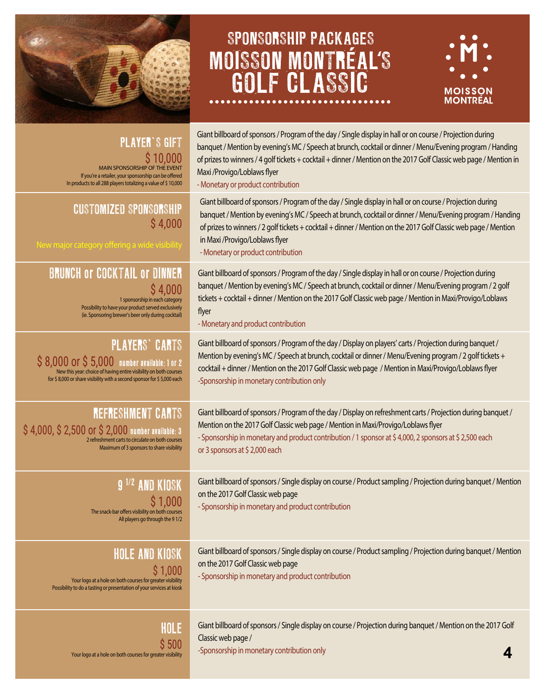

Your logo at a hole on both courses for greater visibility

# SPONSORSHIP PACKAGES MOISSON MONTRÉAL S GOLF CLASSIC



| <b>PLAYER'S GIFT</b><br><b>MAIN SPONSORSHIP OF THE EVENT</b><br>If you're a retailer, your sponsorship can be offered<br>In products to all 288 players totalizing a value of \$10,000 | Giant billboard of sponsors / Program of the day / Single display in hall or on course / Projection during<br>banquet / Mention by evening's MC / Speech at brunch, cocktail or dinner / Menu/Evening program / Handing<br>of prizes to winners / 4 golf tickets + cocktail + dinner / Mention on the 2017 Golf Classic web page / Mention in<br>Maxi /Provigo/Loblaws flyer<br>- Monetary or product contribution  |
|----------------------------------------------------------------------------------------------------------------------------------------------------------------------------------------|---------------------------------------------------------------------------------------------------------------------------------------------------------------------------------------------------------------------------------------------------------------------------------------------------------------------------------------------------------------------------------------------------------------------|
| <b>CUSTOMIZED SPONSORSHIP</b><br>\$4,000<br>New major category offering a wide visibility                                                                                              | Giant billboard of sponsors / Program of the day / Single display in hall or on course / Projection during<br>banquet / Mention by evening's MC / Speech at brunch, cocktail or dinner / Menu/Evening program / Handing<br>of prizes to winners / 2 golf tickets + cocktail + dinner / Mention on the 2017 Golf Classic web page / Mention<br>in Maxi / Provigo/Loblaws flyer<br>- Monetary or product contribution |
| <b>BRUNCH OF COCKTAIL OF DINNER</b>                                                                                                                                                    | Giant billboard of sponsors / Program of the day / Single display in hall or on course / Projection during                                                                                                                                                                                                                                                                                                          |
| \$4,000                                                                                                                                                                                | banquet / Mention by evening's MC / Speech at brunch, cocktail or dinner / Menu/Evening program / 2 golf                                                                                                                                                                                                                                                                                                            |
| 1 sponsorship in each category                                                                                                                                                         | tickets + cocktail + dinner / Mention on the 2017 Golf Classic web page / Mention in Maxi/Provigo/Loblaws                                                                                                                                                                                                                                                                                                           |
| Possibility to have your product served exclusively                                                                                                                                    | flyer                                                                                                                                                                                                                                                                                                                                                                                                               |
| (ie. Sponsoring brewer's beer only during cocktail)                                                                                                                                    | - Monetary and product contribution                                                                                                                                                                                                                                                                                                                                                                                 |
| <b>PLAYERS' CARTS</b>                                                                                                                                                                  | Giant billboard of sponsors / Program of the day / Display on players' carts / Projection during banquet /                                                                                                                                                                                                                                                                                                          |
| S 8,000 or \$ 5,000 number available: 1 or 2                                                                                                                                           | Mention by evening's MC / Speech at brunch, cocktail or dinner / Menu/Evening program / 2 golf tickets +                                                                                                                                                                                                                                                                                                            |
| New this year: choice of having entire visibility on both courses                                                                                                                      | cocktail + dinner / Mention on the 2017 Golf Classic web page / Mention in Maxi/Provigo/Loblaws flyer                                                                                                                                                                                                                                                                                                               |
| for \$8,000 or share visibility with a second sponsor for \$5,000 each                                                                                                                 | -Sponsorship in monetary contribution only                                                                                                                                                                                                                                                                                                                                                                          |
| <b>REFRESHMENT CARTS</b>                                                                                                                                                               | Giant billboard of sponsors / Program of the day / Display on refreshment carts / Projection during banquet /                                                                                                                                                                                                                                                                                                       |
| $$4,000, $2,500$ Or $$2,000$ number available: 3                                                                                                                                       | Mention on the 2017 Golf Classic web page / Mention in Maxi/Provigo/Loblaws flyer                                                                                                                                                                                                                                                                                                                                   |
| 2 refreshment carts to circulate on both courses                                                                                                                                       | - Sponsorship in monetary and product contribution / 1 sponsor at \$4,000, 2 sponsors at \$2,500 each                                                                                                                                                                                                                                                                                                               |
| Maximum of 3 sponsors to share visibility                                                                                                                                              | or 3 sponsors at \$2,000 each                                                                                                                                                                                                                                                                                                                                                                                       |
| 9 <sup>1/2</sup> AND KIOSK<br>\$1,000<br>The snack-bar offers visibility on both courses<br>All players go through the 91/2                                                            | Giant billboard of sponsors / Single display on course / Product sampling / Projection during banquet / Mention<br>on the 2017 Golf Classic web page<br>- Sponsorship in monetary and product contribution                                                                                                                                                                                                          |
| HOLE AND KIOSK<br>\$1,000<br>Your logo at a hole on both courses for greater visibility<br>Possibility to do a tasting or presentation of your services at kiosk                       | Giant billboard of sponsors / Single display on course / Product sampling / Projection during banquet / Mention<br>on the 2017 Golf Classic web page<br>- Sponsorship in monetary and product contribution                                                                                                                                                                                                          |
| HOLE                                                                                                                                                                                   | Giant billboard of sponsors / Single display on course / Projection during banquet / Mention on the 2017 Golf                                                                                                                                                                                                                                                                                                       |
| \$500                                                                                                                                                                                  | Classic web page /                                                                                                                                                                                                                                                                                                                                                                                                  |
| Your logo at a hole on both courses for greater visibility                                                                                                                             | -Sponsorship in monetary contribution only                                                                                                                                                                                                                                                                                                                                                                          |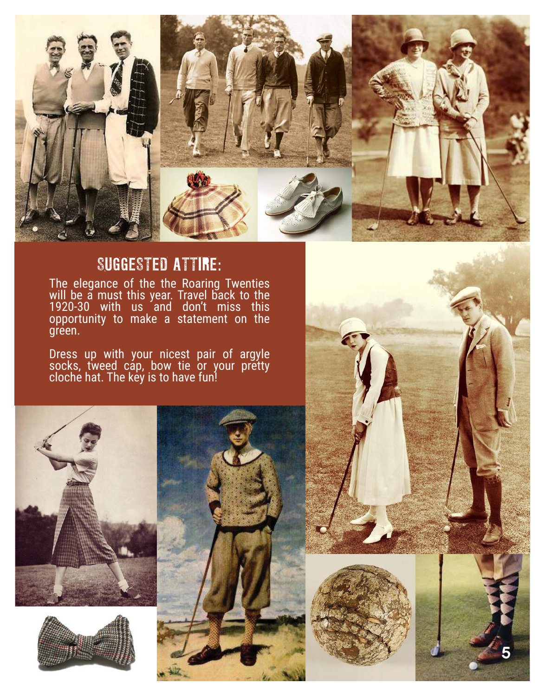

## SUGGESTED ATTIRE:

The elegance of the the Roaring Twenties will be a must this year. Travel back to the 1920-30 with us and don't miss this opportunity to make a statement on the green.

Dress up with your nicest pair of argyle socks, tweed cap, bow tie or your pretty cloche hat. The key is to have fun!